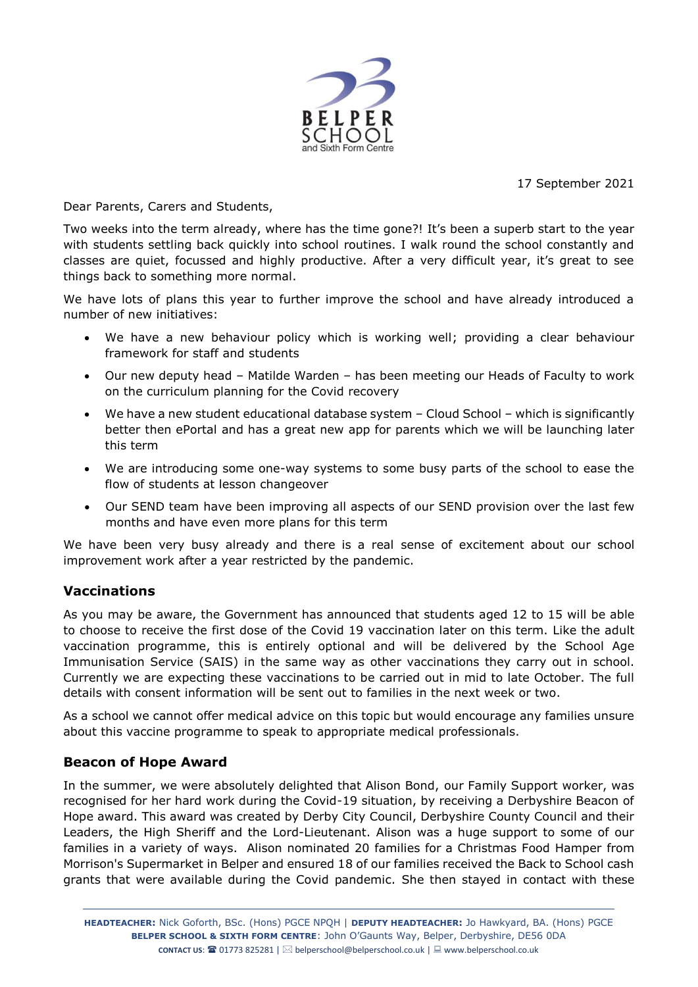

17 September 2021

Dear Parents, Carers and Students,

Two weeks into the term already, where has the time gone?! It's been a superb start to the year with students settling back quickly into school routines. I walk round the school constantly and classes are quiet, focussed and highly productive. After a very difficult year, it's great to see things back to something more normal.

We have lots of plans this year to further improve the school and have already introduced a number of new initiatives:

- We have a new behaviour policy which is working well; providing a clear behaviour framework for staff and students
- Our new deputy head Matilde Warden has been meeting our Heads of Faculty to work on the curriculum planning for the Covid recovery
- We have a new student educational database system Cloud School which is significantly better then ePortal and has a great new app for parents which we will be launching later this term
- We are introducing some one-way systems to some busy parts of the school to ease the flow of students at lesson changeover
- Our SEND team have been improving all aspects of our SEND provision over the last few months and have even more plans for this term

We have been very busy already and there is a real sense of excitement about our school improvement work after a year restricted by the pandemic.

# **Vaccinations**

As you may be aware, the Government has announced that students aged 12 to 15 will be able to choose to receive the first dose of the Covid 19 vaccination later on this term. Like the adult vaccination programme, this is entirely optional and will be delivered by the School Age Immunisation Service (SAIS) in the same way as other vaccinations they carry out in school. Currently we are expecting these vaccinations to be carried out in mid to late October. The full details with consent information will be sent out to families in the next week or two.

As a school we cannot offer medical advice on this topic but would encourage any families unsure about this vaccine programme to speak to appropriate medical professionals.

## **Beacon of Hope Award**

In the summer, we were absolutely delighted that Alison Bond, our Family Support worker, was recognised for her hard work during the Covid-19 situation, by receiving a Derbyshire Beacon of Hope award. This award was created by Derby City Council, Derbyshire County Council and their Leaders, the High Sheriff and the Lord-Lieutenant. Alison was a huge support to some of our families in a variety of ways. Alison nominated 20 families for a Christmas Food Hamper from Morrison's Supermarket in Belper and ensured 18 of our families received the Back to School cash grants that were available during the Covid pandemic. She then stayed in contact with these